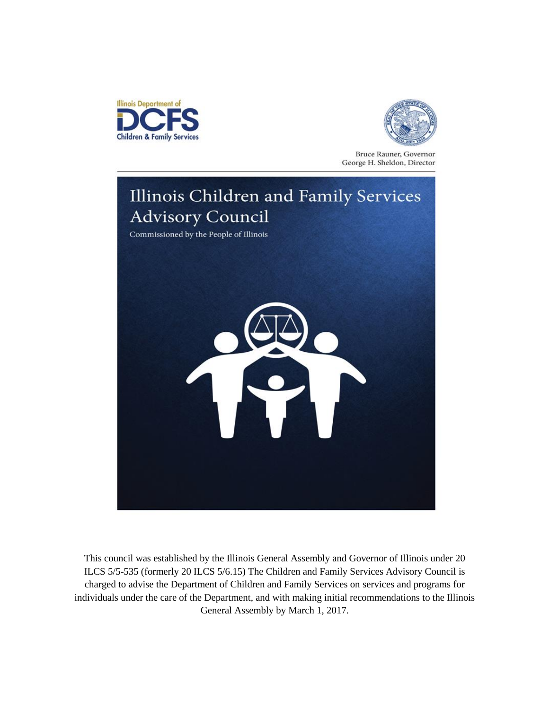



Bruce Rauner, Governor George H. Sheldon, Director



This council was established by the Illinois General Assembly and Governor of Illinois under 20 ILCS 5/5-535 (formerly 20 ILCS 5/6.15) The Children and Family Services Advisory Council is charged to advise the Department of Children and Family Services on services and programs for individuals under the care of the Department, and with making initial recommendations to the Illinois General Assembly by March 1, 2017.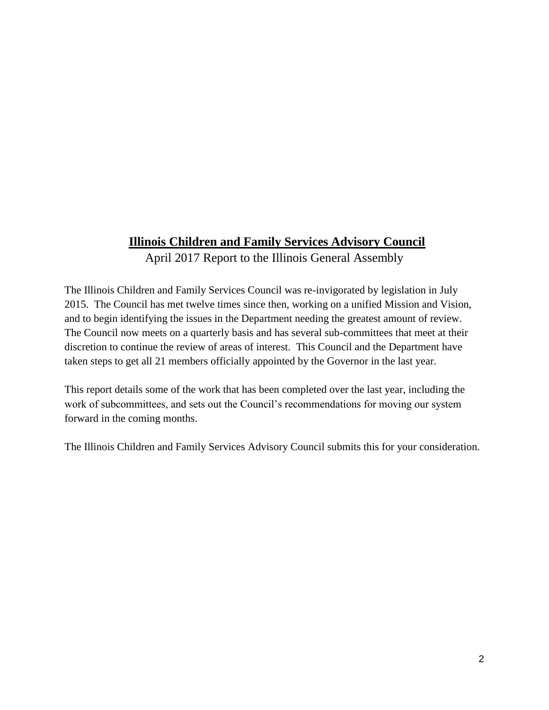## **Illinois Children and Family Services Advisory Council**

April 2017 Report to the Illinois General Assembly

The Illinois Children and Family Services Council was re-invigorated by legislation in July 2015. The Council has met twelve times since then, working on a unified Mission and Vision, and to begin identifying the issues in the Department needing the greatest amount of review. The Council now meets on a quarterly basis and has several sub-committees that meet at their discretion to continue the review of areas of interest. This Council and the Department have taken steps to get all 21 members officially appointed by the Governor in the last year.

This report details some of the work that has been completed over the last year, including the work of subcommittees, and sets out the Council's recommendations for moving our system forward in the coming months.

The Illinois Children and Family Services Advisory Council submits this for your consideration.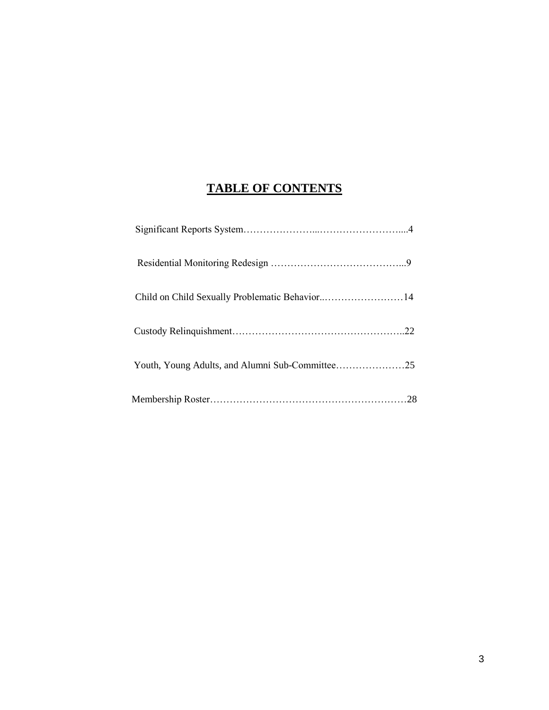# **TABLE OF CONTENTS**

| Youth, Young Adults, and Alumni Sub-Committee25 |  |
|-------------------------------------------------|--|
|                                                 |  |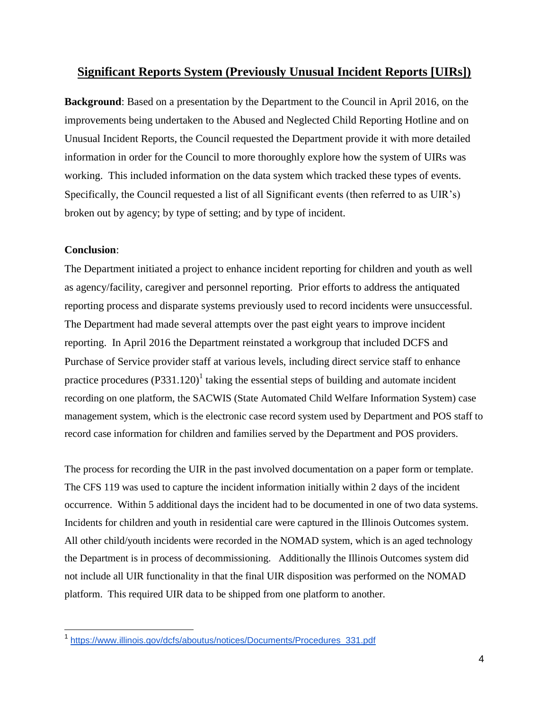## **Significant Reports System (Previously Unusual Incident Reports [UIRs])**

**Background**: Based on a presentation by the Department to the Council in April 2016, on the improvements being undertaken to the Abused and Neglected Child Reporting Hotline and on Unusual Incident Reports, the Council requested the Department provide it with more detailed information in order for the Council to more thoroughly explore how the system of UIRs was working. This included information on the data system which tracked these types of events. Specifically, the Council requested a list of all Significant events (then referred to as UIR's) broken out by agency; by type of setting; and by type of incident.

## **Conclusion**:

The Department initiated a project to enhance incident reporting for children and youth as well as agency/facility, caregiver and personnel reporting. Prior efforts to address the antiquated reporting process and disparate systems previously used to record incidents were unsuccessful. The Department had made several attempts over the past eight years to improve incident reporting. In April 2016 the Department reinstated a workgroup that included DCFS and Purchase of Service provider staff at various levels, including direct service staff to enhance practice procedures  $(P331.120)^1$  taking the essential steps of building and automate incident recording on one platform, the SACWIS (State Automated Child Welfare Information System) case management system, which is the electronic case record system used by Department and POS staff to record case information for children and families served by the Department and POS providers.

The process for recording the UIR in the past involved documentation on a paper form or template. The CFS 119 was used to capture the incident information initially within 2 days of the incident occurrence. Within 5 additional days the incident had to be documented in one of two data systems. Incidents for children and youth in residential care were captured in the Illinois Outcomes system. All other child/youth incidents were recorded in the NOMAD system, which is an aged technology the Department is in process of decommissioning. Additionally the Illinois Outcomes system did not include all UIR functionality in that the final UIR disposition was performed on the NOMAD platform. This required UIR data to be shipped from one platform to another.

<sup>1</sup> [https://www.illinois.gov/dcfs/aboutus/notices/Documents/Procedures\\_331.pdf](https://www.illinois.gov/dcfs/aboutus/notices/Documents/Procedures_331.pdf)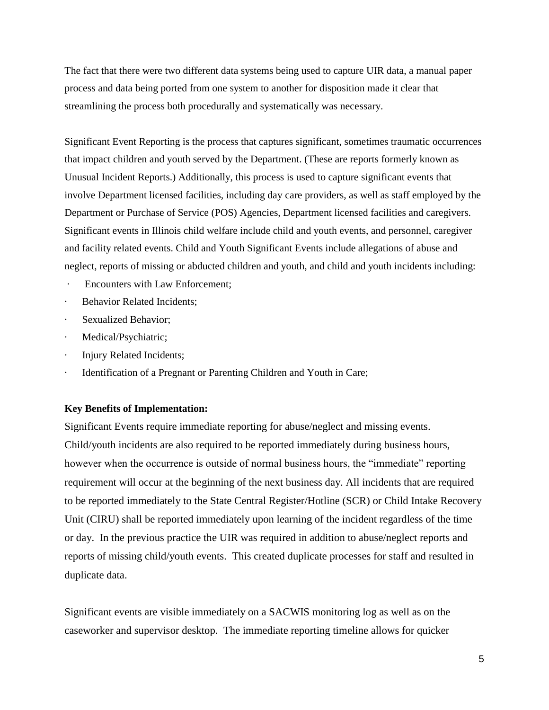The fact that there were two different data systems being used to capture UIR data, a manual paper process and data being ported from one system to another for disposition made it clear that streamlining the process both procedurally and systematically was necessary.

Significant Event Reporting is the process that captures significant, sometimes traumatic occurrences that impact children and youth served by the Department. (These are reports formerly known as Unusual Incident Reports.) Additionally, this process is used to capture significant events that involve Department licensed facilities, including day care providers, as well as staff employed by the Department or Purchase of Service (POS) Agencies, Department licensed facilities and caregivers. Significant events in Illinois child welfare include child and youth events, and personnel, caregiver and facility related events. Child and Youth Significant Events include allegations of abuse and neglect, reports of missing or abducted children and youth, and child and youth incidents including:

- · Encounters with Law Enforcement;
- Behavior Related Incidents:
- · Sexualized Behavior;
- · Medical/Psychiatric;
- · Injury Related Incidents;
- Identification of a Pregnant or Parenting Children and Youth in Care;

#### **Key Benefits of Implementation:**

Significant Events require immediate reporting for abuse/neglect and missing events. Child/youth incidents are also required to be reported immediately during business hours, however when the occurrence is outside of normal business hours, the "immediate" reporting requirement will occur at the beginning of the next business day. All incidents that are required to be reported immediately to the State Central Register/Hotline (SCR) or Child Intake Recovery Unit (CIRU) shall be reported immediately upon learning of the incident regardless of the time or day. In the previous practice the UIR was required in addition to abuse/neglect reports and reports of missing child/youth events. This created duplicate processes for staff and resulted in duplicate data.

Significant events are visible immediately on a SACWIS monitoring log as well as on the caseworker and supervisor desktop. The immediate reporting timeline allows for quicker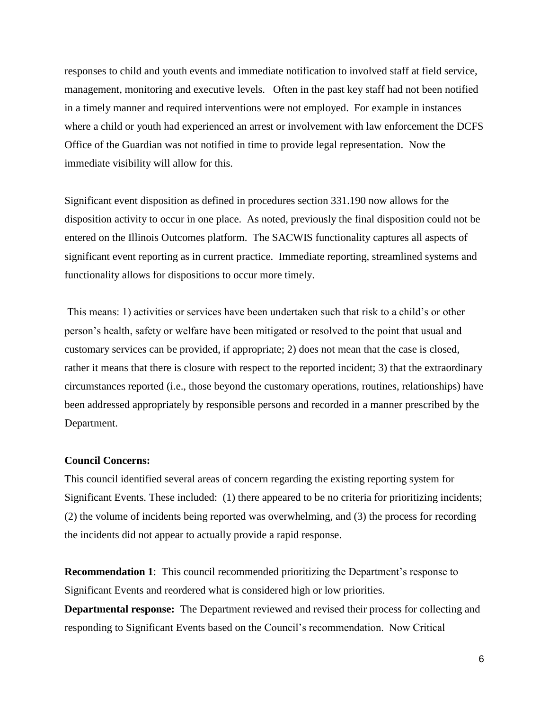responses to child and youth events and immediate notification to involved staff at field service, management, monitoring and executive levels. Often in the past key staff had not been notified in a timely manner and required interventions were not employed. For example in instances where a child or youth had experienced an arrest or involvement with law enforcement the DCFS Office of the Guardian was not notified in time to provide legal representation. Now the immediate visibility will allow for this.

Significant event disposition as defined in procedures section 331.190 now allows for the disposition activity to occur in one place. As noted, previously the final disposition could not be entered on the Illinois Outcomes platform. The SACWIS functionality captures all aspects of significant event reporting as in current practice. Immediate reporting, streamlined systems and functionality allows for dispositions to occur more timely.

This means: 1) activities or services have been undertaken such that risk to a child's or other person's health, safety or welfare have been mitigated or resolved to the point that usual and customary services can be provided, if appropriate; 2) does not mean that the case is closed, rather it means that there is closure with respect to the reported incident; 3) that the extraordinary circumstances reported (i.e., those beyond the customary operations, routines, relationships) have been addressed appropriately by responsible persons and recorded in a manner prescribed by the Department.

## **Council Concerns:**

This council identified several areas of concern regarding the existing reporting system for Significant Events. These included: (1) there appeared to be no criteria for prioritizing incidents; (2) the volume of incidents being reported was overwhelming, and (3) the process for recording the incidents did not appear to actually provide a rapid response.

**Recommendation 1**: This council recommended prioritizing the Department's response to Significant Events and reordered what is considered high or low priorities.

**Departmental response:** The Department reviewed and revised their process for collecting and responding to Significant Events based on the Council's recommendation. Now Critical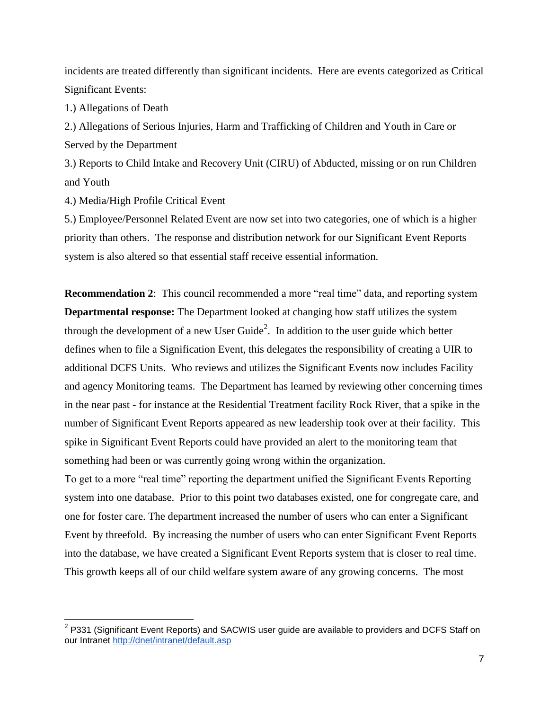incidents are treated differently than significant incidents. Here are events categorized as Critical Significant Events:

1.) Allegations of Death

2.) Allegations of Serious Injuries, Harm and Trafficking of Children and Youth in Care or Served by the Department

3.) Reports to Child Intake and Recovery Unit (CIRU) of Abducted, missing or on run Children and Youth

4.) Media/High Profile Critical Event

5.) Employee/Personnel Related Event are now set into two categories, one of which is a higher priority than others. The response and distribution network for our Significant Event Reports system is also altered so that essential staff receive essential information.

**Recommendation 2**: This council recommended a more "real time" data, and reporting system **Departmental response:** The Department looked at changing how staff utilizes the system through the development of a new User Guide<sup>2</sup>. In addition to the user guide which better defines when to file a Signification Event, this delegates the responsibility of creating a UIR to additional DCFS Units. Who reviews and utilizes the Significant Events now includes Facility and agency Monitoring teams. The Department has learned by reviewing other concerning times in the near past - for instance at the Residential Treatment facility Rock River, that a spike in the number of Significant Event Reports appeared as new leadership took over at their facility. This spike in Significant Event Reports could have provided an alert to the monitoring team that something had been or was currently going wrong within the organization.

To get to a more "real time" reporting the department unified the Significant Events Reporting system into one database. Prior to this point two databases existed, one for congregate care, and one for foster care. The department increased the number of users who can enter a Significant Event by threefold. By increasing the number of users who can enter Significant Event Reports into the database, we have created a Significant Event Reports system that is closer to real time. This growth keeps all of our child welfare system aware of any growing concerns. The most

 2 P331 (Significant Event Reports) and SACWIS user guide are available to providers and DCFS Staff on our Intranet<http://dnet/intranet/default.asp>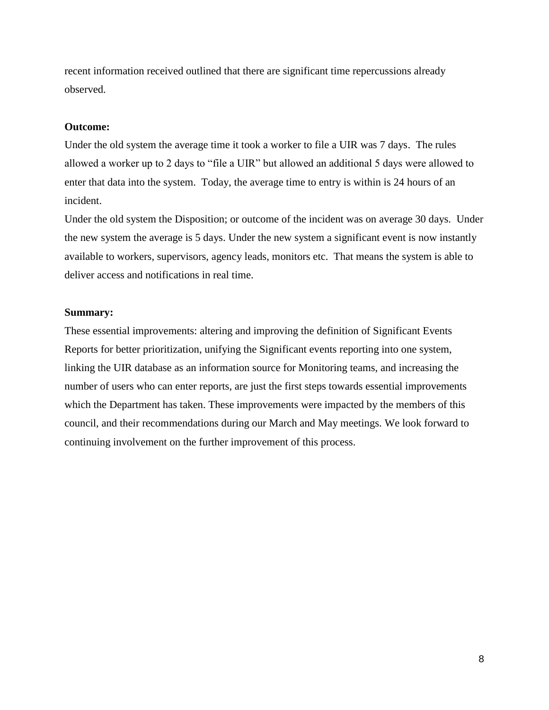recent information received outlined that there are significant time repercussions already observed.

#### **Outcome:**

Under the old system the average time it took a worker to file a UIR was 7 days. The rules allowed a worker up to 2 days to "file a UIR" but allowed an additional 5 days were allowed to enter that data into the system. Today, the average time to entry is within is 24 hours of an incident.

Under the old system the Disposition; or outcome of the incident was on average 30 days. Under the new system the average is 5 days. Under the new system a significant event is now instantly available to workers, supervisors, agency leads, monitors etc. That means the system is able to deliver access and notifications in real time.

#### **Summary:**

These essential improvements: altering and improving the definition of Significant Events Reports for better prioritization, unifying the Significant events reporting into one system, linking the UIR database as an information source for Monitoring teams, and increasing the number of users who can enter reports, are just the first steps towards essential improvements which the Department has taken. These improvements were impacted by the members of this council, and their recommendations during our March and May meetings. We look forward to continuing involvement on the further improvement of this process.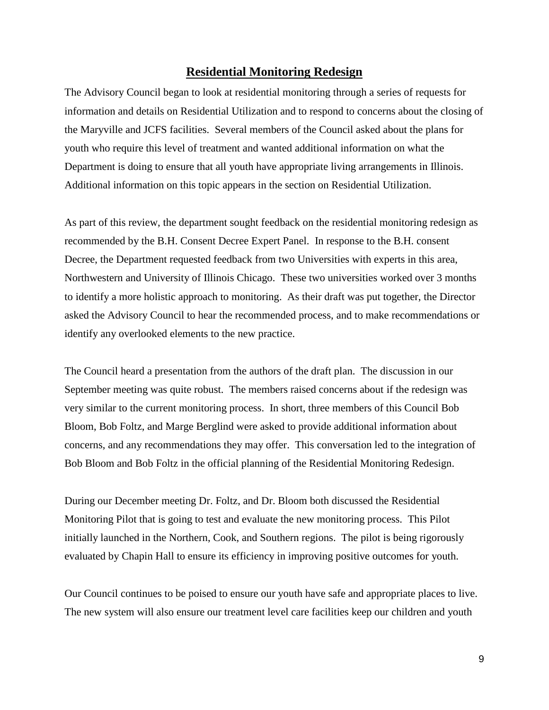## **Residential Monitoring Redesign**

The Advisory Council began to look at residential monitoring through a series of requests for information and details on Residential Utilization and to respond to concerns about the closing of the Maryville and JCFS facilities. Several members of the Council asked about the plans for youth who require this level of treatment and wanted additional information on what the Department is doing to ensure that all youth have appropriate living arrangements in Illinois. Additional information on this topic appears in the section on Residential Utilization.

As part of this review, the department sought feedback on the residential monitoring redesign as recommended by the B.H. Consent Decree Expert Panel. In response to the B.H. consent Decree, the Department requested feedback from two Universities with experts in this area, Northwestern and University of Illinois Chicago. These two universities worked over 3 months to identify a more holistic approach to monitoring. As their draft was put together, the Director asked the Advisory Council to hear the recommended process, and to make recommendations or identify any overlooked elements to the new practice.

The Council heard a presentation from the authors of the draft plan. The discussion in our September meeting was quite robust. The members raised concerns about if the redesign was very similar to the current monitoring process. In short, three members of this Council Bob Bloom, Bob Foltz, and Marge Berglind were asked to provide additional information about concerns, and any recommendations they may offer. This conversation led to the integration of Bob Bloom and Bob Foltz in the official planning of the Residential Monitoring Redesign.

During our December meeting Dr. Foltz, and Dr. Bloom both discussed the Residential Monitoring Pilot that is going to test and evaluate the new monitoring process. This Pilot initially launched in the Northern, Cook, and Southern regions. The pilot is being rigorously evaluated by Chapin Hall to ensure its efficiency in improving positive outcomes for youth.

Our Council continues to be poised to ensure our youth have safe and appropriate places to live. The new system will also ensure our treatment level care facilities keep our children and youth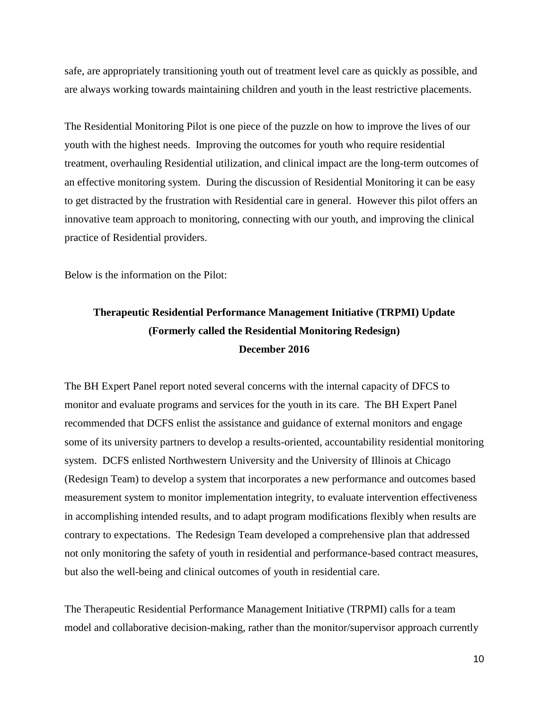safe, are appropriately transitioning youth out of treatment level care as quickly as possible, and are always working towards maintaining children and youth in the least restrictive placements.

The Residential Monitoring Pilot is one piece of the puzzle on how to improve the lives of our youth with the highest needs. Improving the outcomes for youth who require residential treatment, overhauling Residential utilization, and clinical impact are the long-term outcomes of an effective monitoring system. During the discussion of Residential Monitoring it can be easy to get distracted by the frustration with Residential care in general. However this pilot offers an innovative team approach to monitoring, connecting with our youth, and improving the clinical practice of Residential providers.

Below is the information on the Pilot:

# **Therapeutic Residential Performance Management Initiative (TRPMI) Update (Formerly called the Residential Monitoring Redesign) December 2016**

The BH Expert Panel report noted several concerns with the internal capacity of DFCS to monitor and evaluate programs and services for the youth in its care. The BH Expert Panel recommended that DCFS enlist the assistance and guidance of external monitors and engage some of its university partners to develop a results-oriented, accountability residential monitoring system. DCFS enlisted Northwestern University and the University of Illinois at Chicago (Redesign Team) to develop a system that incorporates a new performance and outcomes based measurement system to monitor implementation integrity, to evaluate intervention effectiveness in accomplishing intended results, and to adapt program modifications flexibly when results are contrary to expectations. The Redesign Team developed a comprehensive plan that addressed not only monitoring the safety of youth in residential and performance-based contract measures, but also the well-being and clinical outcomes of youth in residential care.

The Therapeutic Residential Performance Management Initiative (TRPMI) calls for a team model and collaborative decision-making, rather than the monitor/supervisor approach currently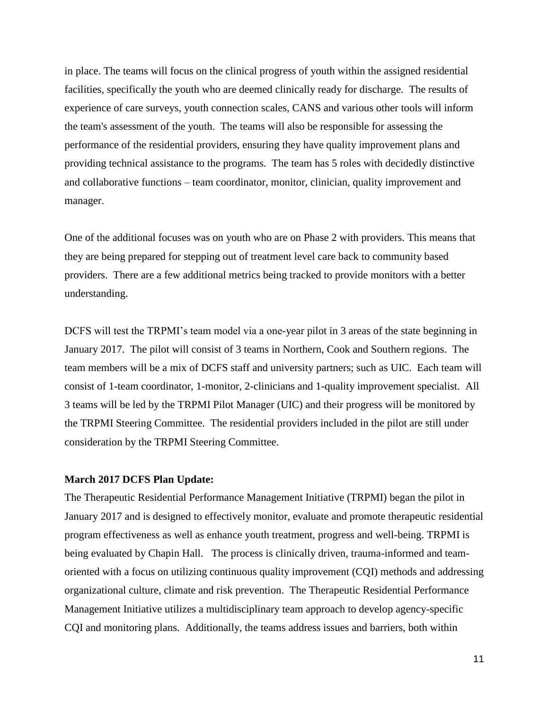in place. The teams will focus on the clinical progress of youth within the assigned residential facilities, specifically the youth who are deemed clinically ready for discharge. The results of experience of care surveys, youth connection scales, CANS and various other tools will inform the team's assessment of the youth. The teams will also be responsible for assessing the performance of the residential providers, ensuring they have quality improvement plans and providing technical assistance to the programs. The team has 5 roles with decidedly distinctive and collaborative functions – team coordinator, monitor, clinician, quality improvement and manager.

One of the additional focuses was on youth who are on Phase 2 with providers. This means that they are being prepared for stepping out of treatment level care back to community based providers. There are a few additional metrics being tracked to provide monitors with a better understanding.

DCFS will test the TRPMI's team model via a one-year pilot in 3 areas of the state beginning in January 2017. The pilot will consist of 3 teams in Northern, Cook and Southern regions. The team members will be a mix of DCFS staff and university partners; such as UIC. Each team will consist of 1-team coordinator, 1-monitor, 2-clinicians and 1-quality improvement specialist. All 3 teams will be led by the TRPMI Pilot Manager (UIC) and their progress will be monitored by the TRPMI Steering Committee. The residential providers included in the pilot are still under consideration by the TRPMI Steering Committee.

#### **March 2017 DCFS Plan Update:**

The Therapeutic Residential Performance Management Initiative (TRPMI) began the pilot in January 2017 and is designed to effectively monitor, evaluate and promote therapeutic residential program effectiveness as well as enhance youth treatment, progress and well-being. TRPMI is being evaluated by Chapin Hall. The process is clinically driven, trauma-informed and teamoriented with a focus on utilizing continuous quality improvement (CQI) methods and addressing organizational culture, climate and risk prevention. The Therapeutic Residential Performance Management Initiative utilizes a multidisciplinary team approach to develop agency-specific CQI and monitoring plans. Additionally, the teams address issues and barriers, both within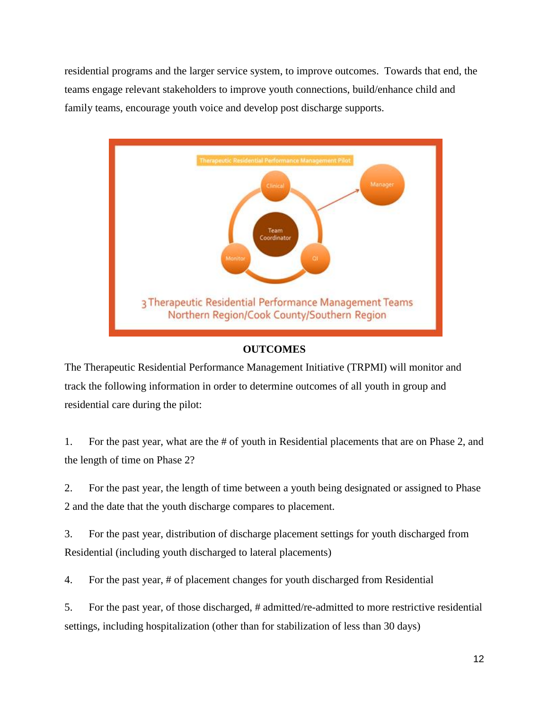residential programs and the larger service system, to improve outcomes. Towards that end, the teams engage relevant stakeholders to improve youth connections, build/enhance child and family teams, encourage youth voice and develop post discharge supports.



## **OUTCOMES**

The Therapeutic Residential Performance Management Initiative (TRPMI) will monitor and track the following information in order to determine outcomes of all youth in group and residential care during the pilot:

1. For the past year, what are the # of youth in Residential placements that are on Phase 2, and the length of time on Phase 2?

2. For the past year, the length of time between a youth being designated or assigned to Phase 2 and the date that the youth discharge compares to placement.

3. For the past year, distribution of discharge placement settings for youth discharged from Residential (including youth discharged to lateral placements)

4. For the past year, # of placement changes for youth discharged from Residential

5. For the past year, of those discharged, # admitted/re-admitted to more restrictive residential settings, including hospitalization (other than for stabilization of less than 30 days)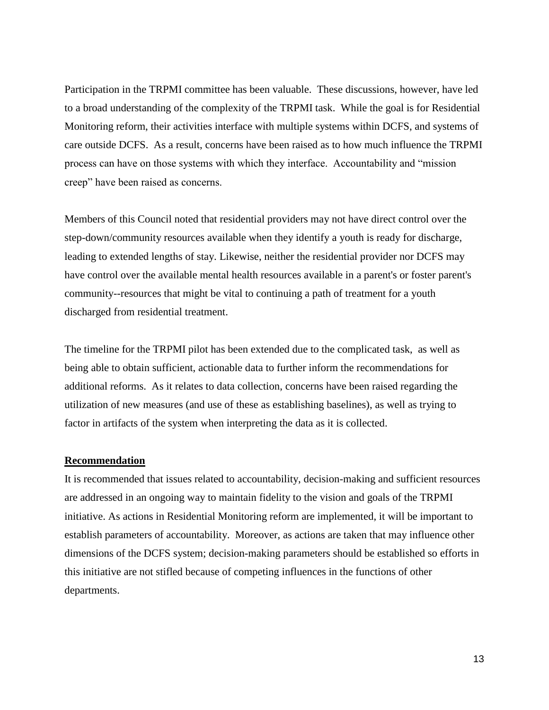Participation in the TRPMI committee has been valuable. These discussions, however, have led to a broad understanding of the complexity of the TRPMI task. While the goal is for Residential Monitoring reform, their activities interface with multiple systems within DCFS, and systems of care outside DCFS. As a result, concerns have been raised as to how much influence the TRPMI process can have on those systems with which they interface. Accountability and "mission creep" have been raised as concerns.

Members of this Council noted that residential providers may not have direct control over the step-down/community resources available when they identify a youth is ready for discharge, leading to extended lengths of stay. Likewise, neither the residential provider nor DCFS may have control over the available mental health resources available in a parent's or foster parent's community--resources that might be vital to continuing a path of treatment for a youth discharged from residential treatment.

The timeline for the TRPMI pilot has been extended due to the complicated task, as well as being able to obtain sufficient, actionable data to further inform the recommendations for additional reforms. As it relates to data collection, concerns have been raised regarding the utilization of new measures (and use of these as establishing baselines), as well as trying to factor in artifacts of the system when interpreting the data as it is collected.

## **Recommendation**

It is recommended that issues related to accountability, decision-making and sufficient resources are addressed in an ongoing way to maintain fidelity to the vision and goals of the TRPMI initiative. As actions in Residential Monitoring reform are implemented, it will be important to establish parameters of accountability. Moreover, as actions are taken that may influence other dimensions of the DCFS system; decision-making parameters should be established so efforts in this initiative are not stifled because of competing influences in the functions of other departments.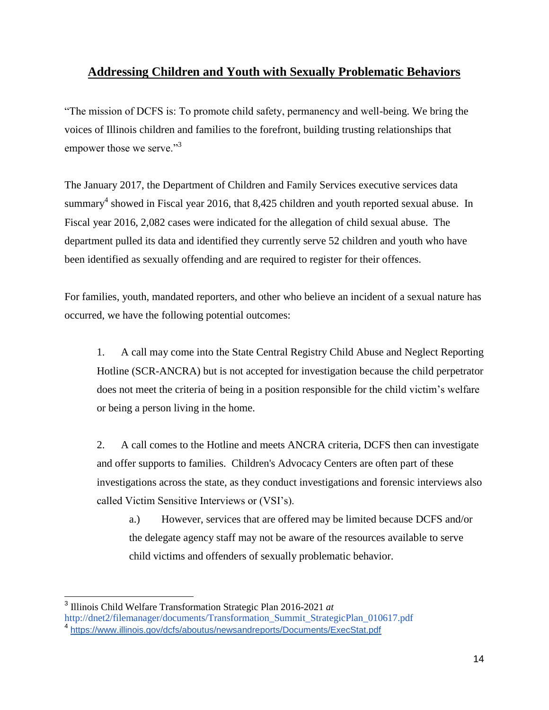## **Addressing Children and Youth with Sexually Problematic Behaviors**

"The mission of DCFS is: To promote child safety, permanency and well-being. We bring the voices of Illinois children and families to the forefront, building trusting relationships that empower those we serve."<sup>3</sup>

The January 2017, the Department of Children and Family Services executive services data summary<sup>4</sup> showed in Fiscal year 2016, that 8,425 children and youth reported sexual abuse. In Fiscal year 2016, 2,082 cases were indicated for the allegation of child sexual abuse. The department pulled its data and identified they currently serve 52 children and youth who have been identified as sexually offending and are required to register for their offences.

For families, youth, mandated reporters, and other who believe an incident of a sexual nature has occurred, we have the following potential outcomes:

1. A call may come into the State Central Registry Child Abuse and Neglect Reporting Hotline (SCR-ANCRA) but is not accepted for investigation because the child perpetrator does not meet the criteria of being in a position responsible for the child victim's welfare or being a person living in the home.

2. A call comes to the Hotline and meets ANCRA criteria, DCFS then can investigate and offer supports to families. Children's Advocacy Centers are often part of these investigations across the state, as they conduct investigations and forensic interviews also called Victim Sensitive Interviews or (VSI's).

a.) However, services that are offered may be limited because DCFS and/or the delegate agency staff may not be aware of the resources available to serve child victims and offenders of sexually problematic behavior.

 $\overline{a}$ 

<sup>3</sup> Illinois Child Welfare Transformation Strategic Plan 2016-2021 *a[t](http://dnet2/filemanager/documents/Transformation_Summit_StrategicPlan_010617.pdf)*

[http://dnet2/filemanager/documents/Transformation\\_Summit\\_StrategicPlan\\_010617.pdf](http://dnet2/filemanager/documents/Transformation_Summit_StrategicPlan_010617.pdf)

<sup>4</sup> <https://www.illinois.gov/dcfs/aboutus/newsandreports/Documents/ExecStat.pdf>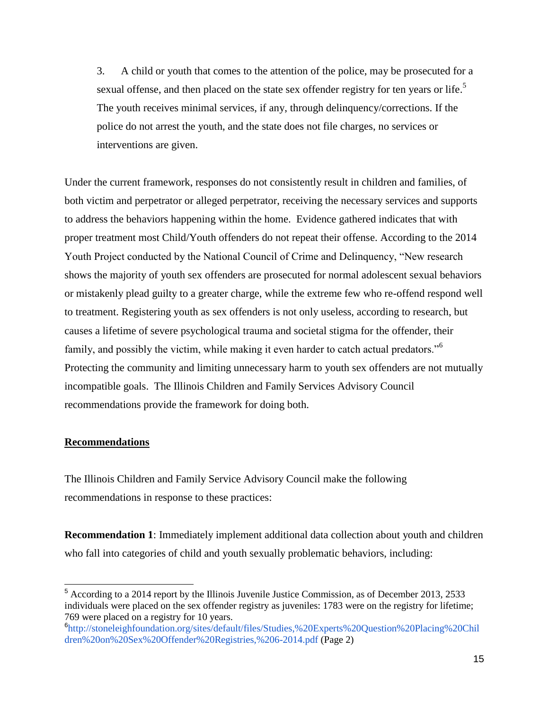3. A child or youth that comes to the attention of the police, may be prosecuted for a sexual offense, and then placed on the state sex offender registry for ten years or life.<sup>5</sup> The youth receives minimal services, if any, through delinquency/corrections. If the police do not arrest the youth, and the state does not file charges, no services or interventions are given.

Under the current framework, responses do not consistently result in children and families, of both victim and perpetrator or alleged perpetrator, receiving the necessary services and supports to address the behaviors happening within the home. Evidence gathered indicates that with proper treatment most Child/Youth offenders do not repeat their offense. According to the 2014 Youth Project conducted by the National Council of Crime and Delinquency, "New research shows the majority of youth sex offenders are prosecuted for normal adolescent sexual behaviors or mistakenly plead guilty to a greater charge, while the extreme few who re-offend respond well to treatment. Registering youth as sex offenders is not only useless, according to research, but causes a lifetime of severe psychological trauma and societal stigma for the offender, their family, and possibly the victim, while making it even harder to catch actual predators."<sup>6</sup> Protecting the community and limiting unnecessary harm to youth sex offenders are not mutually incompatible goals. The Illinois Children and Family Services Advisory Council recommendations provide the framework for doing both.

#### **Recommendations**

The Illinois Children and Family Service Advisory Council make the following recommendations in response to these practices:

**Recommendation 1**: Immediately implement additional data collection about youth and children who fall into categories of child and youth sexually problematic behaviors, including:

<sup>5</sup> According to a 2014 report by the Illinois Juvenile Justice Commission, as of December 2013, 2533 individuals were placed on the sex offender registry as juveniles: 1783 were on the registry for lifetime; 769 were placed on a registry for 10 years.

<sup>6</sup> [http://stoneleighfoundation.org/sites/default/files/Studies,%20Experts%20Question%20Placing%20Chil](http://stoneleighfoundation.org/sites/default/files/Studies,%20Experts%20Question%20Placing%20Children%20on%20Sex%20Offender%20Registries,%206-2014.pdf) [dren%20on%20Sex%20Offender%20Registries,%206-2014.pdf](http://stoneleighfoundation.org/sites/default/files/Studies,%20Experts%20Question%20Placing%20Children%20on%20Sex%20Offender%20Registries,%206-2014.pdf) (Page 2)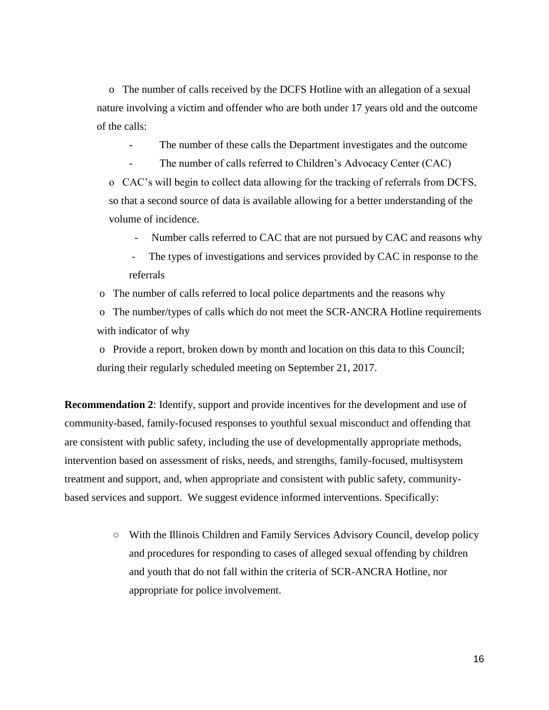o The number of calls received by the DCFS Hotline with an allegation of a sexual nature involving a victim and offender who are both under 17 years old and the outcome of the calls:

The number of these calls the Department investigates and the outcome

The number of calls referred to Children's Advocacy Center (CAC)

o CAC's will begin to collect data allowing for the tracking of referrals from DCFS, so that a second source of data is available allowing for a better understanding of the volume of incidence.

- Number calls referred to CAC that are not pursued by CAC and reasons why
- The types of investigations and services provided by CAC in response to the referrals
- o The number of calls referred to local police departments and the reasons why

o The number/types of calls which do not meet the SCR-ANCRA Hotline requirements with indicator of why

o Provide a report, broken down by month and location on this data to this Council; during their regularly scheduled meeting on September 21, 2017.

**Recommendation 2**: Identify, support and provide incentives for the development and use of community-based, family-focused responses to youthful sexual misconduct and offending that are consistent with public safety, including the use of developmentally appropriate methods, intervention based on assessment of risks, needs, and strengths, family-focused, multisystem treatment and support, and, when appropriate and consistent with public safety, communitybased services and support. We suggest evidence informed interventions. Specifically:

> ○ With the Illinois Children and Family Services Advisory Council, develop policy and procedures for responding to cases of alleged sexual offending by children and youth that do not fall within the criteria of SCR-ANCRA Hotline, nor appropriate for police involvement.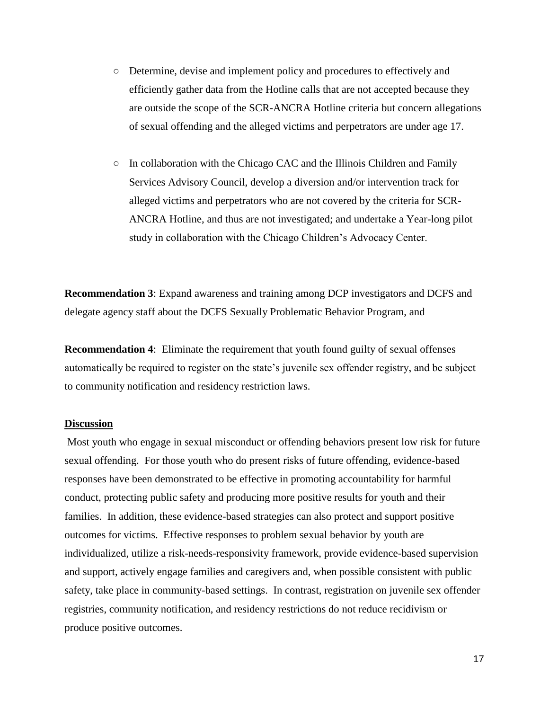- Determine, devise and implement policy and procedures to effectively and efficiently gather data from the Hotline calls that are not accepted because they are outside the scope of the SCR-ANCRA Hotline criteria but concern allegations of sexual offending and the alleged victims and perpetrators are under age 17.
- In collaboration with the Chicago CAC and the Illinois Children and Family Services Advisory Council, develop a diversion and/or intervention track for alleged victims and perpetrators who are not covered by the criteria for SCR-ANCRA Hotline, and thus are not investigated; and undertake a Year-long pilot study in collaboration with the Chicago Children's Advocacy Center.

**Recommendation 3**: Expand awareness and training among DCP investigators and DCFS and delegate agency staff about the DCFS Sexually Problematic Behavior Program, and

**Recommendation 4**: Eliminate the requirement that youth found guilty of sexual offenses automatically be required to register on the state's juvenile sex offender registry, and be subject to community notification and residency restriction laws.

## **Discussion**

Most youth who engage in sexual misconduct or offending behaviors present low risk for future sexual offending. For those youth who do present risks of future offending, evidence-based responses have been demonstrated to be effective in promoting accountability for harmful conduct, protecting public safety and producing more positive results for youth and their families. In addition, these evidence-based strategies can also protect and support positive outcomes for victims. Effective responses to problem sexual behavior by youth are individualized, utilize a risk-needs-responsivity framework, provide evidence-based supervision and support, actively engage families and caregivers and, when possible consistent with public safety, take place in community-based settings. In contrast, registration on juvenile sex offender registries, community notification, and residency restrictions do not reduce recidivism or produce positive outcomes.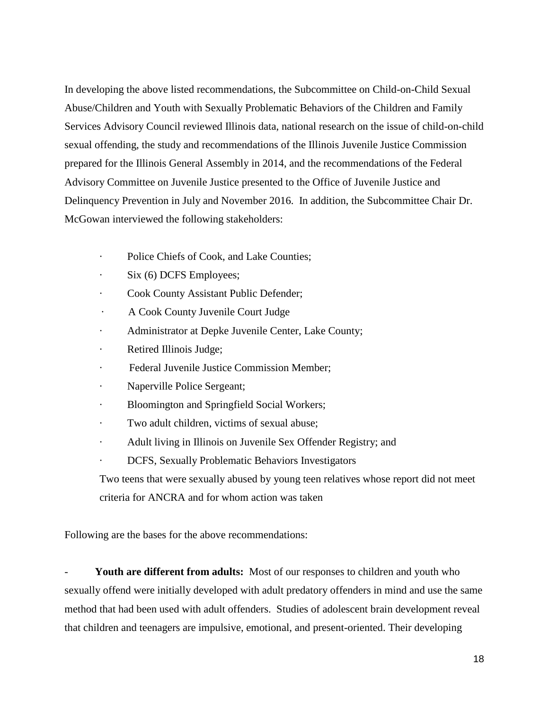In developing the above listed recommendations, the Subcommittee on Child-on-Child Sexual Abuse/Children and Youth with Sexually Problematic Behaviors of the Children and Family Services Advisory Council reviewed Illinois data, national research on the issue of child-on-child sexual offending, the study and recommendations of the Illinois Juvenile Justice Commission prepared for the Illinois General Assembly in 2014, and the recommendations of the Federal Advisory Committee on Juvenile Justice presented to the Office of Juvenile Justice and Delinquency Prevention in July and November 2016. In addition, the Subcommittee Chair Dr. McGowan interviewed the following stakeholders:

- · Police Chiefs of Cook, and Lake Counties;
- Six (6) DCFS Employees;
- Cook County Assistant Public Defender;
- · A Cook County Juvenile Court Judge
- · Administrator at Depke Juvenile Center, Lake County;
- · Retired Illinois Judge;
- Federal Juvenile Justice Commission Member;
- Naperville Police Sergeant;
- · Bloomington and Springfield Social Workers;
- · Two adult children, victims of sexual abuse;
- · Adult living in Illinois on Juvenile Sex Offender Registry; and
- · DCFS, Sexually Problematic Behaviors Investigators

Two teens that were sexually abused by young teen relatives whose report did not meet criteria for ANCRA and for whom action was taken

Following are the bases for the above recommendations:

Youth are different from adults: Most of our responses to children and youth who sexually offend were initially developed with adult predatory offenders in mind and use the same method that had been used with adult offenders. Studies of adolescent brain development reveal that children and teenagers are impulsive, emotional, and present-oriented. Their developing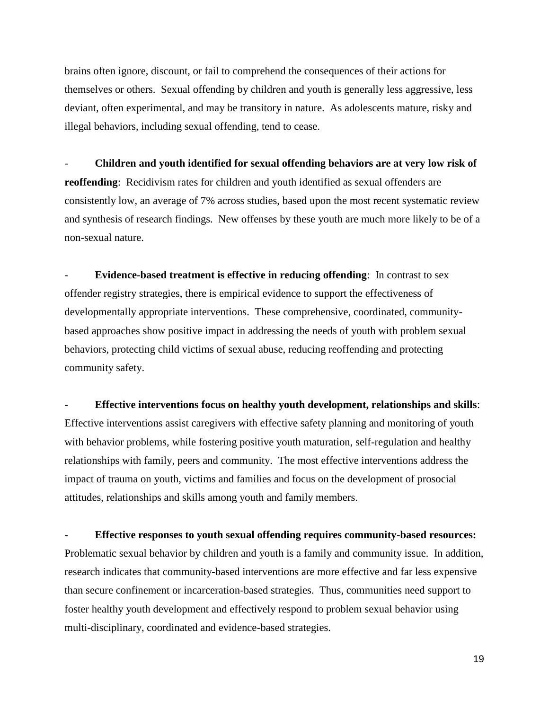brains often ignore, discount, or fail to comprehend the consequences of their actions for themselves or others. Sexual offending by children and youth is generally less aggressive, less deviant, often experimental, and may be transitory in nature. As adolescents mature, risky and illegal behaviors, including sexual offending, tend to cease.

- **Children and youth identified for sexual offending behaviors are at very low risk of reoffending**: Recidivism rates for children and youth identified as sexual offenders are consistently low, an average of 7% across studies, based upon the most recent systematic review and synthesis of research findings. New offenses by these youth are much more likely to be of a non-sexual nature.

**Evidence-based treatment is effective in reducing offending:** In contrast to sex offender registry strategies, there is empirical evidence to support the effectiveness of developmentally appropriate interventions. These comprehensive, coordinated, communitybased approaches show positive impact in addressing the needs of youth with problem sexual behaviors, protecting child victims of sexual abuse, reducing reoffending and protecting community safety.

- **Effective interventions focus on healthy youth development, relationships and skills**: Effective interventions assist caregivers with effective safety planning and monitoring of youth with behavior problems, while fostering positive youth maturation, self-regulation and healthy relationships with family, peers and community. The most effective interventions address the impact of trauma on youth, victims and families and focus on the development of prosocial attitudes, relationships and skills among youth and family members.

- **Effective responses to youth sexual offending requires community-based resources:** Problematic sexual behavior by children and youth is a family and community issue. In addition, research indicates that community-based interventions are more effective and far less expensive than secure confinement or incarceration-based strategies. Thus, communities need support to foster healthy youth development and effectively respond to problem sexual behavior using multi-disciplinary, coordinated and evidence-based strategies.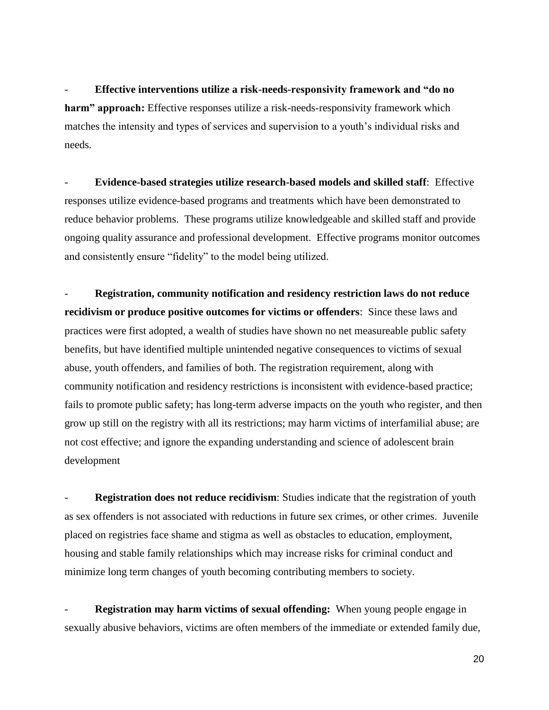- **Effective interventions utilize a risk-needs-responsivity framework and "do no harm" approach:** Effective responses utilize a risk-needs-responsivity framework which matches the intensity and types of services and supervision to a youth's individual risks and needs.

- **Evidence-based strategies utilize research-based models and skilled staff**: Effective responses utilize evidence-based programs and treatments which have been demonstrated to reduce behavior problems. These programs utilize knowledgeable and skilled staff and provide ongoing quality assurance and professional development. Effective programs monitor outcomes and consistently ensure "fidelity" to the model being utilized.

- **Registration, community notification and residency restriction laws do not reduce recidivism or produce positive outcomes for victims or offenders**: Since these laws and practices were first adopted, a wealth of studies have shown no net measureable public safety benefits, but have identified multiple unintended negative consequences to victims of sexual abuse, youth offenders, and families of both. The registration requirement, along with community notification and residency restrictions is inconsistent with evidence-based practice; fails to promote public safety; has long-term adverse impacts on the youth who register, and then grow up still on the registry with all its restrictions; may harm victims of interfamilial abuse; are not cost effective; and ignore the expanding understanding and science of adolescent brain development

**Registration does not reduce recidivism**: Studies indicate that the registration of youth as sex offenders is not associated with reductions in future sex crimes, or other crimes. Juvenile placed on registries face shame and stigma as well as obstacles to education, employment, housing and stable family relationships which may increase risks for criminal conduct and minimize long term changes of youth becoming contributing members to society.

**Registration may harm victims of sexual offending:** When young people engage in sexually abusive behaviors, victims are often members of the immediate or extended family due,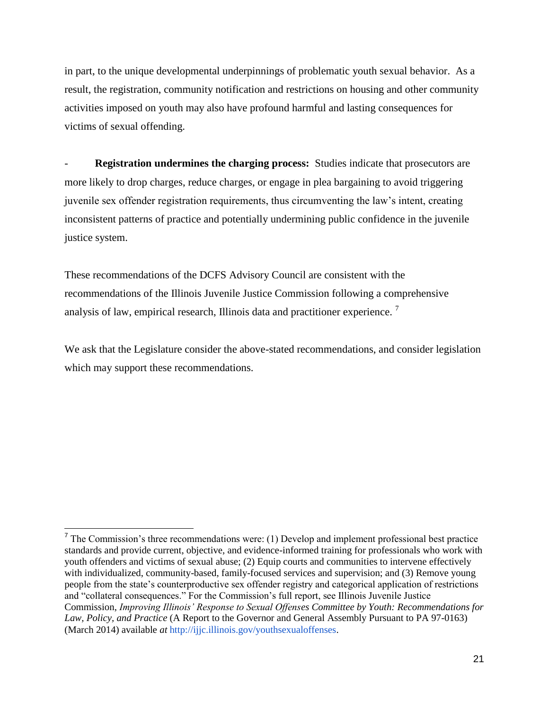in part, to the unique developmental underpinnings of problematic youth sexual behavior. As a result, the registration, community notification and restrictions on housing and other community activities imposed on youth may also have profound harmful and lasting consequences for victims of sexual offending.

**Registration undermines the charging process:** Studies indicate that prosecutors are more likely to drop charges, reduce charges, or engage in plea bargaining to avoid triggering juvenile sex offender registration requirements, thus circumventing the law's intent, creating inconsistent patterns of practice and potentially undermining public confidence in the juvenile justice system.

These recommendations of the DCFS Advisory Council are consistent with the recommendations of the Illinois Juvenile Justice Commission following a comprehensive analysis of law, empirical research, Illinois data and practitioner experience.<sup>7</sup>

We ask that the Legislature consider the above-stated recommendations, and consider legislation which may support these recommendations.

 $\overline{a}$ 

 $<sup>7</sup>$  The Commission's three recommendations were: (1) Develop and implement professional best practice</sup> standards and provide current, objective, and evidence-informed training for professionals who work with youth offenders and victims of sexual abuse; (2) Equip courts and communities to intervene effectively with individualized, community-based, family-focused services and supervision; and (3) Remove young people from the state's counterproductive sex offender registry and categorical application of restrictions and "collateral consequences." For the Commission's full report, see Illinois Juvenile Justice Commission, *Improving Illinois' Response to Sexual Offenses Committee by Youth: Recommendations for Law, Policy, and Practice* (A Report to the Governor and General Assembly Pursuant to PA 97-0163) (March 2014) available *a[t](http://ijjc.illinois.gov/youthsexualoffenses)* [http://ijjc.illinois.gov/youthsexualoffenses.](http://ijjc.illinois.gov/youthsexualoffenses)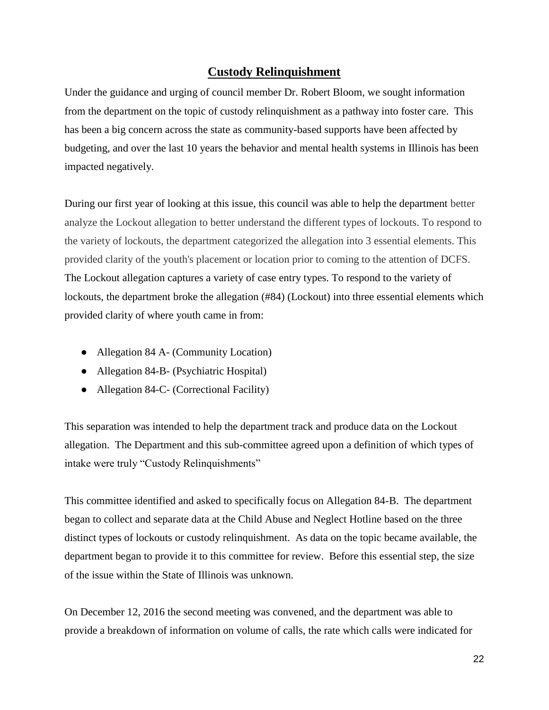## **Custody Relinquishment**

Under the guidance and urging of council member Dr. Robert Bloom, we sought information from the department on the topic of custody relinquishment as a pathway into foster care. This has been a big concern across the state as community-based supports have been affected by budgeting, and over the last 10 years the behavior and mental health systems in Illinois has been impacted negatively.

During our first year of looking at this issue, this council was able to help the department better analyze the Lockout allegation to better understand the different types of lockouts. To respond to the variety of lockouts, the department categorized the allegation into 3 essential elements. This provided clarity of the youth's placement or location prior to coming to the attention of DCFS. The Lockout allegation captures a variety of case entry types. To respond to the variety of lockouts, the department broke the allegation (#84) (Lockout) into three essential elements which provided clarity of where youth came in from:

- Allegation 84 A (Community Location)
- Allegation 84-B- (Psychiatric Hospital)
- Allegation 84-C- (Correctional Facility)

This separation was intended to help the department track and produce data on the Lockout allegation. The Department and this sub-committee agreed upon a definition of which types of intake were truly "Custody Relinquishments"

This committee identified and asked to specifically focus on Allegation 84-B. The department began to collect and separate data at the Child Abuse and Neglect Hotline based on the three distinct types of lockouts or custody relinquishment. As data on the topic became available, the department began to provide it to this committee for review. Before this essential step, the size of the issue within the State of Illinois was unknown.

On December 12, 2016 the second meeting was convened, and the department was able to provide a breakdown of information on volume of calls, the rate which calls were indicated for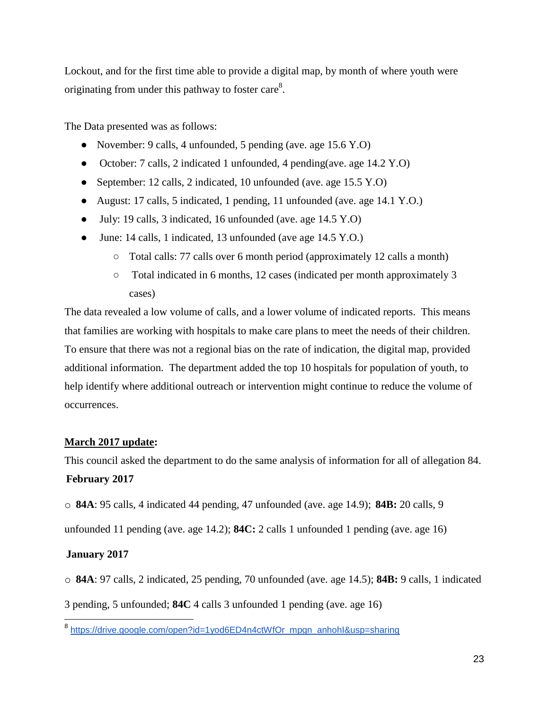Lockout, and for the first time able to provide a digital map, by month of where youth were originating from under this pathway to foster care<sup>8</sup>.

The Data presented was as follows:

- November: 9 calls, 4 unfounded, 5 pending (ave. age 15.6 Y.O)
- October: 7 calls, 2 indicated 1 unfounded, 4 pending(ave. age 14.2 Y.O)
- September: 12 calls, 2 indicated, 10 unfounded (ave. age 15.5 Y.O)
- August: 17 calls, 5 indicated, 1 pending, 11 unfounded (ave. age 14.1 Y.O.)
- July: 19 calls, 3 indicated, 16 unfounded (ave. age 14.5 Y.O)
- June: 14 calls, 1 indicated, 13 unfounded (ave age 14.5 Y.O.)
	- Total calls: 77 calls over 6 month period (approximately 12 calls a month)
	- Total indicated in 6 months, 12 cases (indicated per month approximately 3 cases)

The data revealed a low volume of calls, and a lower volume of indicated reports. This means that families are working with hospitals to make care plans to meet the needs of their children. To ensure that there was not a regional bias on the rate of indication, the digital map, provided additional information. The department added the top 10 hospitals for population of youth, to help identify where additional outreach or intervention might continue to reduce the volume of occurrences.

## **March 2017 update:**

This council asked the department to do the same analysis of information for all of allegation 84. **February 2017**

o **84A**: 95 calls, 4 indicated 44 pending, 47 unfounded (ave. age 14.9); **84B:** 20 calls, 9

unfounded 11 pending (ave. age 14.2); **84C:** 2 calls 1 unfounded 1 pending (ave. age 16)

## **January 2017**

o **84A**: 97 calls, 2 indicated, 25 pending, 70 unfounded (ave. age 14.5); **84B:** 9 calls, 1 indicated

3 pending, 5 unfounded; **84C** 4 calls 3 unfounded 1 pending (ave. age 16)

 8 [https://drive.google.com/open?id=1yod6ED4n4ctWfOr\\_mpgn\\_anhohI&usp=sharing](https://drive.google.com/open?id=1yod6ED4n4ctWfOr_mpgn_anhohI&usp=sharing)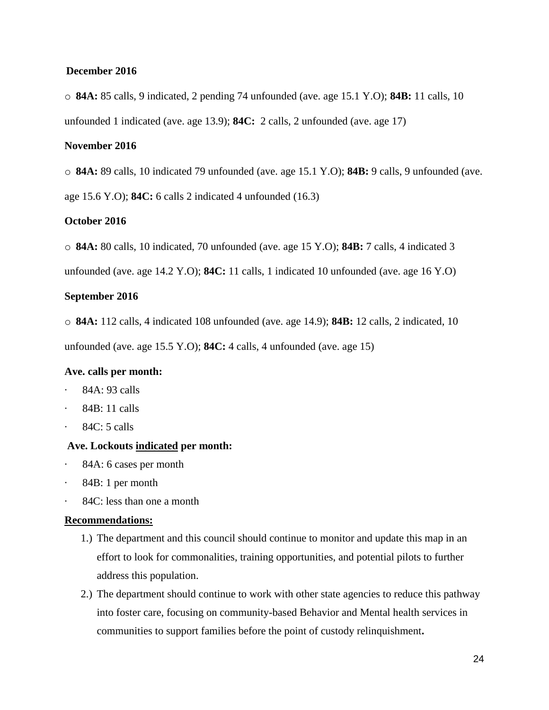#### **December 2016**

o **84A:** 85 calls, 9 indicated, 2 pending 74 unfounded (ave. age 15.1 Y.O); **84B:** 11 calls, 10 unfounded 1 indicated (ave. age 13.9); **84C:** 2 calls, 2 unfounded (ave. age 17)

## **November 2016**

o **84A:** 89 calls, 10 indicated 79 unfounded (ave. age 15.1 Y.O); **84B:** 9 calls, 9 unfounded (ave.

age 15.6 Y.O); **84C:** 6 calls 2 indicated 4 unfounded (16.3)

### **October 2016**

o **84A:** 80 calls, 10 indicated, 70 unfounded (ave. age 15 Y.O); **84B:** 7 calls, 4 indicated 3

unfounded (ave. age 14.2 Y.O); **84C:** 11 calls, 1 indicated 10 unfounded (ave. age 16 Y.O)

#### **September 2016**

o **84A:** 112 calls, 4 indicated 108 unfounded (ave. age 14.9); **84B:** 12 calls, 2 indicated, 10

unfounded (ave. age 15.5 Y.O); **84C:** 4 calls, 4 unfounded (ave. age 15)

#### **Ave. calls per month:**

- · 84A: 93 calls
- · 84B: 11 calls
- $84C: 5$  calls

## **Ave. Lockouts indicated per month:**

- · 84A: 6 cases per month
- · 84B: 1 per month
- 84C: less than one a month

## **Recommendations:**

- 1.) The department and this council should continue to monitor and update this map in an effort to look for commonalities, training opportunities, and potential pilots to further address this population.
- 2.) The department should continue to work with other state agencies to reduce this pathway into foster care, focusing on community-based Behavior and Mental health services in communities to support families before the point of custody relinquishment**.**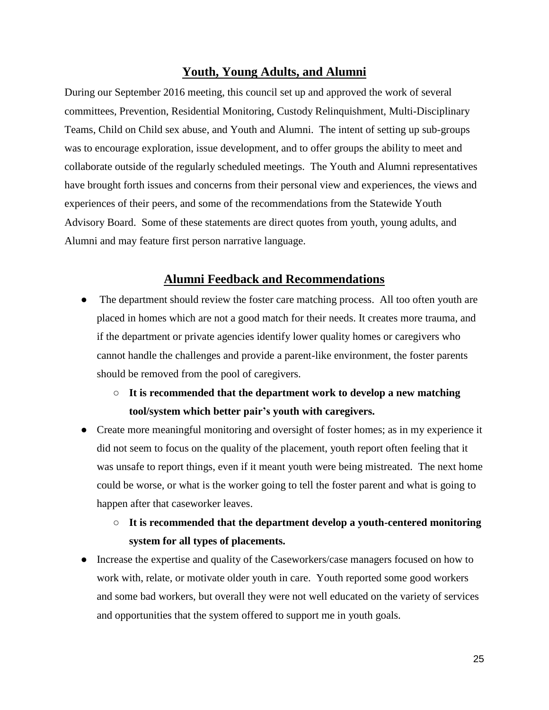## **Youth, Young Adults, and Alumni**

During our September 2016 meeting, this council set up and approved the work of several committees, Prevention, Residential Monitoring, Custody Relinquishment, Multi-Disciplinary Teams, Child on Child sex abuse, and Youth and Alumni. The intent of setting up sub-groups was to encourage exploration, issue development, and to offer groups the ability to meet and collaborate outside of the regularly scheduled meetings. The Youth and Alumni representatives have brought forth issues and concerns from their personal view and experiences, the views and experiences of their peers, and some of the recommendations from the Statewide Youth Advisory Board. Some of these statements are direct quotes from youth, young adults, and Alumni and may feature first person narrative language.

## **Alumni Feedback and Recommendations**

- The department should review the foster care matching process. All too often youth are placed in homes which are not a good match for their needs. It creates more trauma, and if the department or private agencies identify lower quality homes or caregivers who cannot handle the challenges and provide a parent-like environment, the foster parents should be removed from the pool of caregivers.
	- **It is recommended that the department work to develop a new matching tool/system which better pair's youth with caregivers.**
- Create more meaningful monitoring and oversight of foster homes; as in my experience it did not seem to focus on the quality of the placement, youth report often feeling that it was unsafe to report things, even if it meant youth were being mistreated. The next home could be worse, or what is the worker going to tell the foster parent and what is going to happen after that caseworker leaves.

# ○ **It is recommended that the department develop a youth-centered monitoring system for all types of placements.**

Increase the expertise and quality of the Caseworkers/case managers focused on how to work with, relate, or motivate older youth in care. Youth reported some good workers and some bad workers, but overall they were not well educated on the variety of services and opportunities that the system offered to support me in youth goals.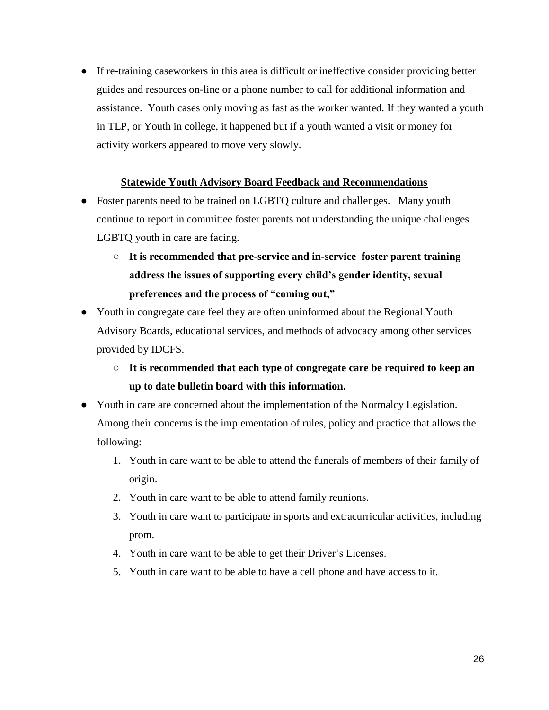● If re-training caseworkers in this area is difficult or ineffective consider providing better guides and resources on-line or a phone number to call for additional information and assistance. Youth cases only moving as fast as the worker wanted. If they wanted a youth in TLP, or Youth in college, it happened but if a youth wanted a visit or money for activity workers appeared to move very slowly.

## **Statewide Youth Advisory Board Feedback and Recommendations**

- Foster parents need to be trained on LGBTQ culture and challenges. Many youth continue to report in committee foster parents not understanding the unique challenges LGBTQ youth in care are facing.
	- **It is recommended that pre-service and in-service foster parent training address the issues of supporting every child's gender identity, sexual preferences and the process of "coming out,"**
- Youth in congregate care feel they are often uninformed about the Regional Youth Advisory Boards, educational services, and methods of advocacy among other services provided by IDCFS.
	- **It is recommended that each type of congregate care be required to keep an up to date bulletin board with this information.**
- Youth in care are concerned about the implementation of the Normalcy Legislation. Among their concerns is the implementation of rules, policy and practice that allows the following:
	- 1. Youth in care want to be able to attend the funerals of members of their family of origin.
	- 2. Youth in care want to be able to attend family reunions.
	- 3. Youth in care want to participate in sports and extracurricular activities, including prom.
	- 4. Youth in care want to be able to get their Driver's Licenses.
	- 5. Youth in care want to be able to have a cell phone and have access to it.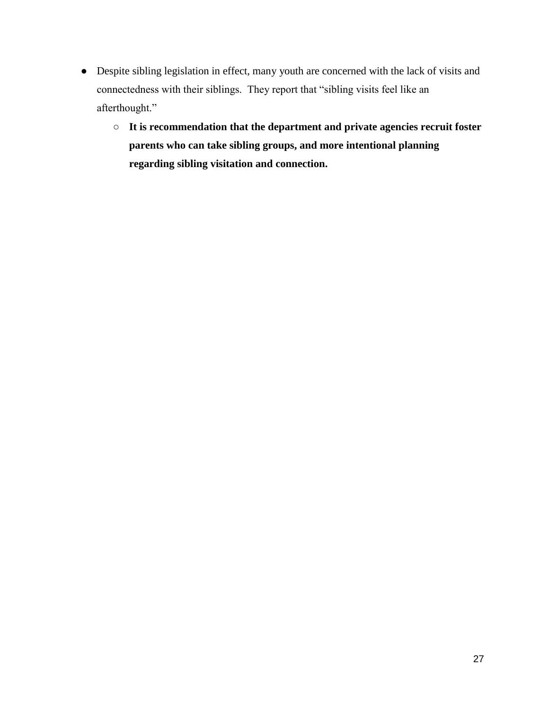- Despite sibling legislation in effect, many youth are concerned with the lack of visits and connectedness with their siblings. They report that "sibling visits feel like an afterthought."
	- **It is recommendation that the department and private agencies recruit foster parents who can take sibling groups, and more intentional planning regarding sibling visitation and connection.**